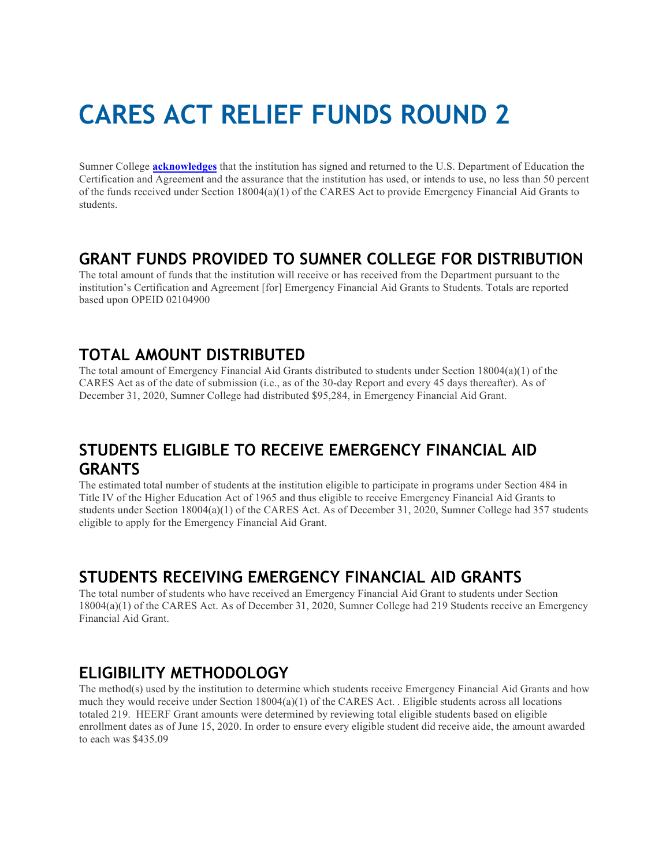# **CARES ACT RELIEF FUNDS ROUND 2**

Sumner College **acknowledges** that the institution has signed and returned to the U.S. Department of Education the Certification and Agreement and the assurance that the institution has used, or intends to use, no less than 50 percent of the funds received under Section 18004(a)(1) of the CARES Act to provide Emergency Financial Aid Grants to students.

## **GRANT FUNDS PROVIDED TO SUMNER COLLEGE FOR DISTRIBUTION**

The total amount of funds that the institution will receive or has received from the Department pursuant to the institution's Certification and Agreement [for] Emergency Financial Aid Grants to Students. Totals are reported based upon OPEID 02104900

# **TOTAL AMOUNT DISTRIBUTED**

The total amount of Emergency Financial Aid Grants distributed to students under Section 18004(a)(1) of the CARES Act as of the date of submission (i.e., as of the 30-day Report and every 45 days thereafter). As of December 31, 2020, Sumner College had distributed \$95,284, in Emergency Financial Aid Grant.

# **STUDENTS ELIGIBLE TO RECEIVE EMERGENCY FINANCIAL AID GRANTS**

The estimated total number of students at the institution eligible to participate in programs under Section 484 in Title IV of the Higher Education Act of 1965 and thus eligible to receive Emergency Financial Aid Grants to students under Section 18004(a)(1) of the CARES Act. As of December 31, 2020, Sumner College had 357 students eligible to apply for the Emergency Financial Aid Grant.

# **STUDENTS RECEIVING EMERGENCY FINANCIAL AID GRANTS**

The total number of students who have received an Emergency Financial Aid Grant to students under Section 18004(a)(1) of the CARES Act. As of December 31, 2020, Sumner College had 219 Students receive an Emergency Financial Aid Grant.

# **ELIGIBILITY METHODOLOGY**

The method(s) used by the institution to determine which students receive Emergency Financial Aid Grants and how much they would receive under Section  $18004(a)(1)$  of the CARES Act. . Eligible students across all locations totaled 219. HEERF Grant amounts were determined by reviewing total eligible students based on eligible enrollment dates as of June 15, 2020. In order to ensure every eligible student did receive aide, the amount awarded to each was \$435.09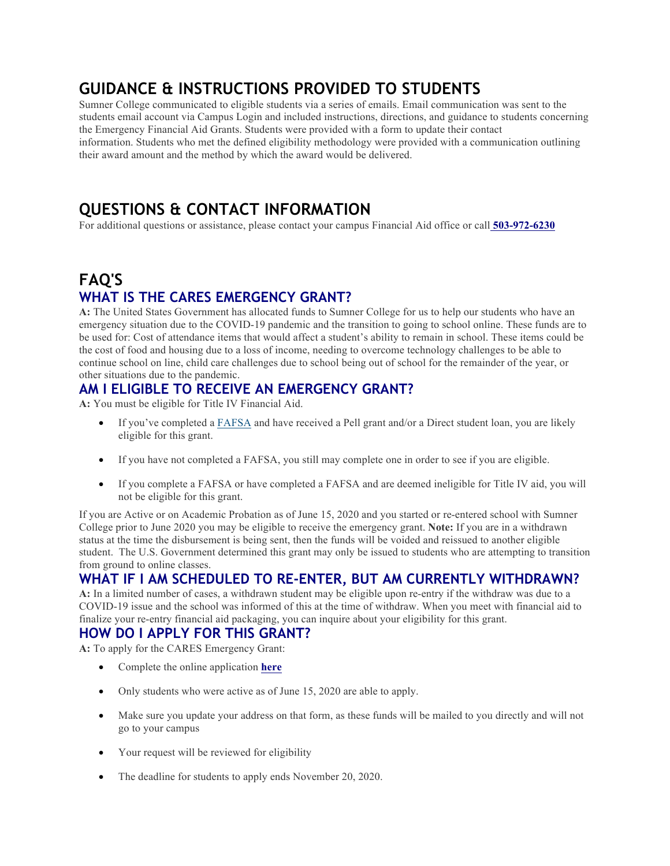# **GUIDANCE & INSTRUCTIONS PROVIDED TO STUDENTS**

Sumner College communicated to eligible students via a series of emails. Email communication was sent to the students email account via Campus Login and included instructions, directions, and guidance to students concerning the Emergency Financial Aid Grants. Students were provided with a form to update their contact information. Students who met the defined eligibility methodology were provided with a communication outlining their award amount and the method by which the award would be delivered.

# **QUESTIONS & CONTACT INFORMATION**

For additional questions or assistance, please contact your campus Financial Aid office or call **503-972-6230**

# **FAQ'S WHAT IS THE CARES EMERGENCY GRANT?**

**A:** The United States Government has allocated funds to Sumner College for us to help our students who have an emergency situation due to the COVID-19 pandemic and the transition to going to school online. These funds are to be used for: Cost of attendance items that would affect a student's ability to remain in school. These items could be the cost of food and housing due to a loss of income, needing to overcome technology challenges to be able to continue school on line, child care challenges due to school being out of school for the remainder of the year, or other situations due to the pandemic.

## **AM I ELIGIBLE TO RECEIVE AN EMERGENCY GRANT?**

**A:** You must be eligible for Title IV Financial Aid.

- If you've completed a FAFSA and have received a Pell grant and/or a Direct student loan, you are likely eligible for this grant.
- If you have not completed a FAFSA, you still may complete one in order to see if you are eligible.
- If you complete a FAFSA or have completed a FAFSA and are deemed ineligible for Title IV aid, you will not be eligible for this grant.

If you are Active or on Academic Probation as of June 15, 2020 and you started or re-entered school with Sumner College prior to June 2020 you may be eligible to receive the emergency grant. **Note:** If you are in a withdrawn status at the time the disbursement is being sent, then the funds will be voided and reissued to another eligible student. The U.S. Government determined this grant may only be issued to students who are attempting to transition from ground to online classes.

## **WHAT IF I AM SCHEDULED TO RE-ENTER, BUT AM CURRENTLY WITHDRAWN?**

**A:** In a limited number of cases, a withdrawn student may be eligible upon re-entry if the withdraw was due to a COVID-19 issue and the school was informed of this at the time of withdraw. When you meet with financial aid to finalize your re-entry financial aid packaging, you can inquire about your eligibility for this grant.

## **HOW DO I APPLY FOR THIS GRANT?**

**A:** To apply for the CARES Emergency Grant:

- Complete the online application **here**
- Only students who were active as of June 15, 2020 are able to apply.
- Make sure you update your address on that form, as these funds will be mailed to you directly and will not go to your campus
- Your request will be reviewed for eligibility
- The deadline for students to apply ends November 20, 2020.